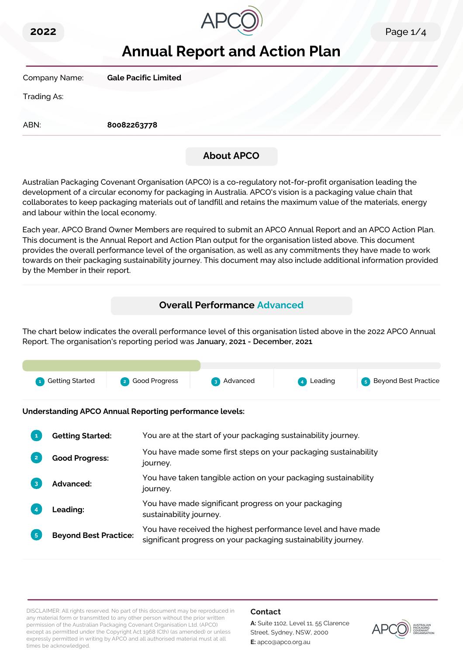



# **Annual Report and Action Plan**

Company Name: **Gale Pacific Limited**

Trading As:

ABN: **80082263778**

### **About APCO**

Australian Packaging Covenant Organisation (APCO) is a co-regulatory not-for-profit organisation leading the development of a circular economy for packaging in Australia. APCO's vision is a packaging value chain that collaborates to keep packaging materials out of landfill and retains the maximum value of the materials, energy and labour within the local economy.

Each year, APCO Brand Owner Members are required to submit an APCO Annual Report and an APCO Action Plan. This document is the Annual Report and Action Plan output for the organisation listed above. This document provides the overall performance level of the organisation, as well as any commitments they have made to work towards on their packaging sustainability journey. This document may also include additional information provided by the Member in their report.

### **Overall Performance Advanced**

The chart below indicates the overall performance level of this organisation listed above in the 2022 APCO Annual Report. The organisation's reporting period was **January, 2021 - December, 2021**.



**Understanding APCO Annual Reporting performance levels:**

|                | <b>Getting Started:</b>      | You are at the start of your packaging sustainability journey.                                                                  |
|----------------|------------------------------|---------------------------------------------------------------------------------------------------------------------------------|
|                | <b>Good Progress:</b>        | You have made some first steps on your packaging sustainability<br>journey.                                                     |
| 3              | <b>Advanced:</b>             | You have taken tangible action on your packaging sustainability<br>journey.                                                     |
|                | <b>Leading:</b>              | You have made significant progress on your packaging<br>sustainability journey.                                                 |
| 5 <sub>5</sub> | <b>Beyond Best Practice:</b> | You have received the highest performance level and have made<br>significant progress on your packaging sustainability journey. |

DISCLAIMER: All rights reserved. No part of this document may be reproduced in any material form or transmitted to any other person without the prior written permission of the Australian Packaging Covenant Organisation Ltd. (APCO) except as permitted under the Copyright Act 1968 (Cth) (as amended) or unless expressly permitted in writing by APCO and all authorised material must at all times be acknowledged.

#### **Contact**

**A:** Suite 1102, Level 11, 55 Clarence Street, Sydney, NSW, 2000 **E:** apco@apco.org.au

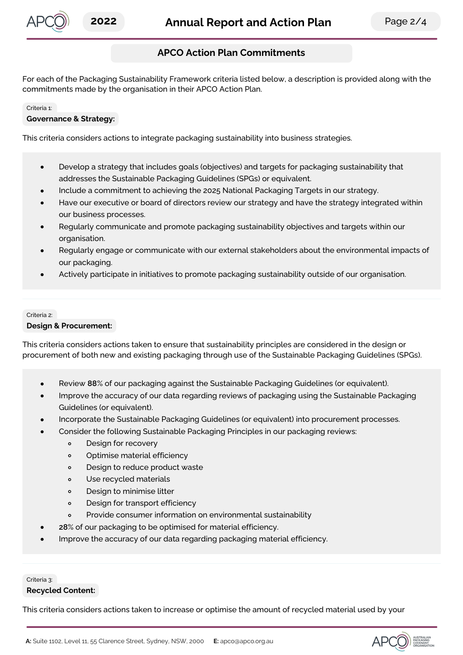

### **APCO Action Plan Commitments**

For each of the Packaging Sustainability Framework criteria listed below, a description is provided along with the commitments made by the organisation in their APCO Action Plan.

#### Criteria 1:

#### **Governance & Strategy:**

This criteria considers actions to integrate packaging sustainability into business strategies.

- Develop a strategy that includes goals (objectives) and targets for packaging sustainability that  $\bullet$ addresses the Sustainable Packaging Guidelines (SPGs) or equivalent.
- Include a commitment to achieving the 2025 National Packaging Targets in our strategy.
- Have our executive or board of directors review our strategy and have the strategy integrated within our business processes.
- Regularly communicate and promote packaging sustainability objectives and targets within our organisation.
- Regularly engage or communicate with our external stakeholders about the environmental impacts of our packaging.
- Actively participate in initiatives to promote packaging sustainability outside of our organisation.

## Criteria 2:

#### **Design & Procurement:**

This criteria considers actions taken to ensure that sustainability principles are considered in the design or procurement of both new and existing packaging through use of the Sustainable Packaging Guidelines (SPGs).

- Review **88**% of our packaging against the Sustainable Packaging Guidelines (or equivalent).
- Improve the accuracy of our data regarding reviews of packaging using the Sustainable Packaging Guidelines (or equivalent).
- Incorporate the Sustainable Packaging Guidelines (or equivalent) into procurement processes.
- Consider the following Sustainable Packaging Principles in our packaging reviews:
	- $\circ$ Design for recovery
	- Optimise material efficiency  $\circ$
	- Design to reduce product waste  $\circ$
	- $\circ$ Use recycled materials
	- $\circ$ Design to minimise litter
	- Design for transport efficiency  $\circ$
	- Provide consumer information on environmental sustainability  $\circ$
	- **28**% of our packaging to be optimised for material efficiency.
- Improve the accuracy of our data regarding packaging material efficiency.

#### Criteria 3: **Recycled Content:**

This criteria considers actions taken to increase or optimise the amount of recycled material used by your

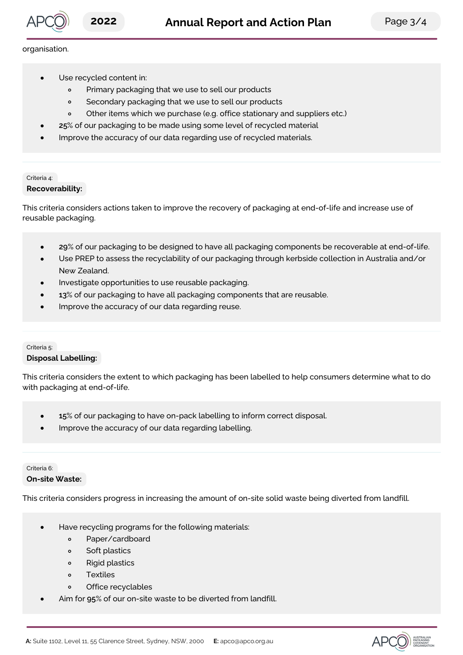

#### organisation.

- Use recycled content in:  $\bullet$ 
	- $\circ$ Primary packaging that we use to sell our products
	- Secondary packaging that we use to sell our products  $\circ$
	- Other items which we purchase (e.g. office stationary and suppliers etc.)  $\circ$
- **25**% of our packaging to be made using some level of recycled material
- Improve the accuracy of our data regarding use of recycled materials.

#### Criteria 4: **Recoverability:**

This criteria considers actions taken to improve the recovery of packaging at end-of-life and increase use of reusable packaging.

- **29**% of our packaging to be designed to have all packaging components be recoverable at end-of-life.  $\bullet$
- Use PREP to assess the recyclability of our packaging through kerbside collection in Australia and/or New Zealand.
- Investigate opportunities to use reusable packaging.
- **13**% of our packaging to have all packaging components that are reusable.
- Improve the accuracy of our data regarding reuse.

#### Criteria 5: **Disposal Labelling:**

This criteria considers the extent to which packaging has been labelled to help consumers determine what to do with packaging at end-of-life.

- **15**% of our packaging to have on-pack labelling to inform correct disposal.  $\bullet$
- Improve the accuracy of our data regarding labelling.

#### Criteria 6: **On-site Waste:**

This criteria considers progress in increasing the amount of on-site solid waste being diverted from landfill.

- Have recycling programs for the following materials:
	- $\circ$ Paper/cardboard
	- Soft plastics  $\circ$
	- $\circ$ Rigid plastics
	- Textiles  $\circ$
	- Office recyclables  $\sim$
- Aim for **95**% of our on-site waste to be diverted from landfill.